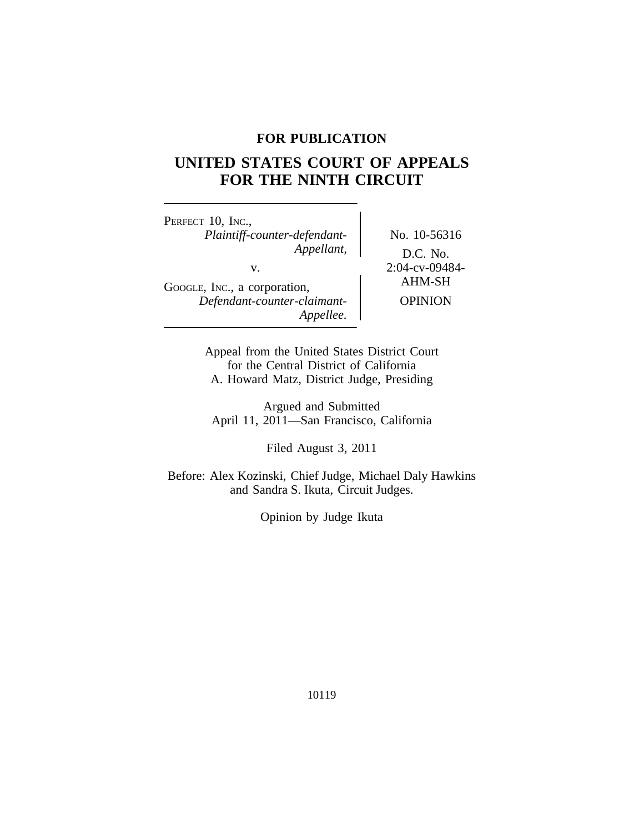## **FOR PUBLICATION**

# **UNITED STATES COURT OF APPEALS FOR THE NINTH CIRCUIT**

PERFECT 10, INC., *Plaintiff-counter-defendant-* No. 10-56316 v. 2:04-cv-09484-<br>
AHM-SH GOOGLE, INC., a corporation, *Defendant-counter-claimant-* OPINION *Appellee.*

*Appellant,* D.C. No.

Appeal from the United States District Court for the Central District of California A. Howard Matz, District Judge, Presiding

Argued and Submitted April 11, 2011—San Francisco, California

Filed August 3, 2011

Before: Alex Kozinski, Chief Judge, Michael Daly Hawkins and Sandra S. Ikuta, Circuit Judges.

Opinion by Judge Ikuta

10119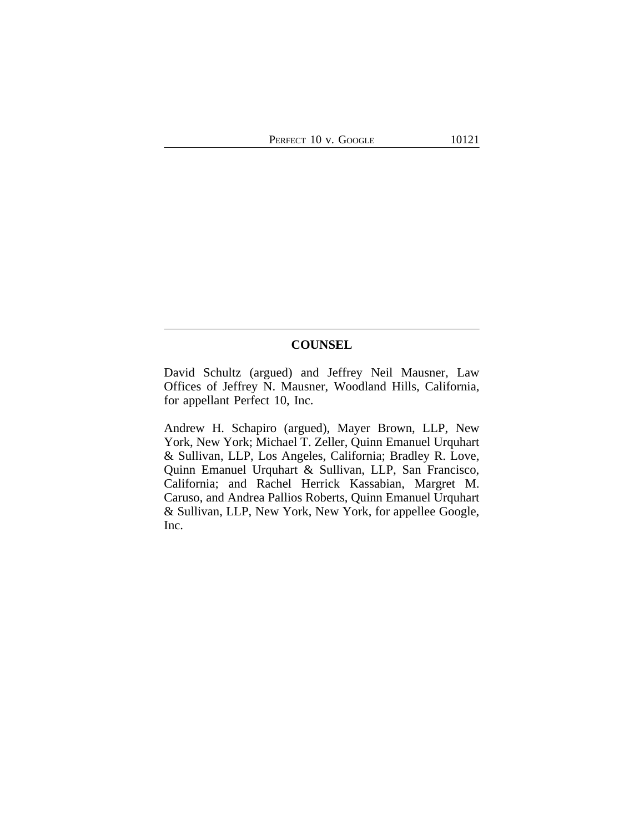## **COUNSEL**

David Schultz (argued) and Jeffrey Neil Mausner, Law Offices of Jeffrey N. Mausner, Woodland Hills, California, for appellant Perfect 10, Inc.

Andrew H. Schapiro (argued), Mayer Brown, LLP, New York, New York; Michael T. Zeller, Quinn Emanuel Urquhart & Sullivan, LLP, Los Angeles, California; Bradley R. Love, Quinn Emanuel Urquhart & Sullivan, LLP, San Francisco, California; and Rachel Herrick Kassabian, Margret M. Caruso, and Andrea Pallios Roberts, Quinn Emanuel Urquhart & Sullivan, LLP, New York, New York, for appellee Google, Inc.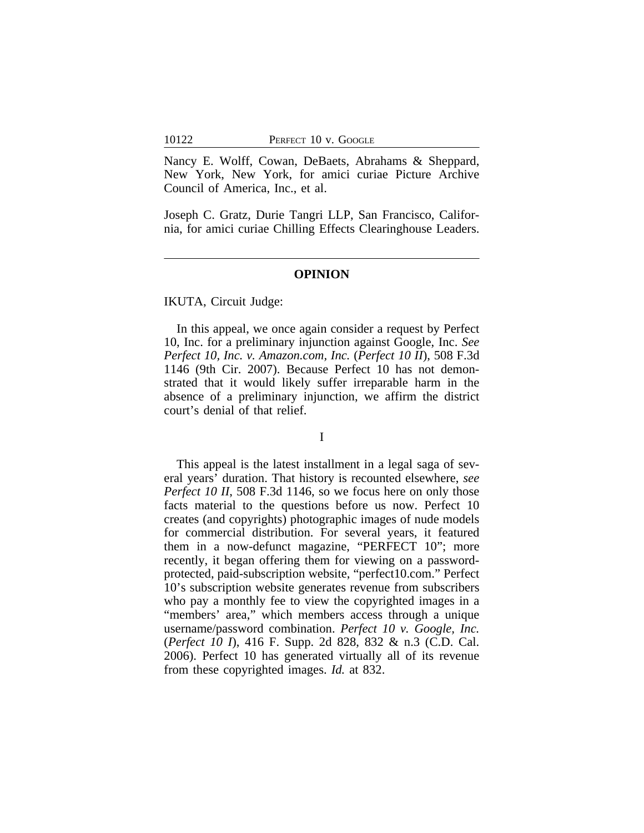Nancy E. Wolff, Cowan, DeBaets, Abrahams & Sheppard, New York, New York, for amici curiae Picture Archive Council of America, Inc., et al.

Joseph C. Gratz, Durie Tangri LLP, San Francisco, California, for amici curiae Chilling Effects Clearinghouse Leaders.

#### **OPINION**

IKUTA, Circuit Judge:

In this appeal, we once again consider a request by Perfect 10, Inc. for a preliminary injunction against Google, Inc. *See Perfect 10, Inc. v. Amazon.com, Inc.* (*Perfect 10 II*), 508 F.3d 1146 (9th Cir. 2007). Because Perfect 10 has not demonstrated that it would likely suffer irreparable harm in the absence of a preliminary injunction, we affirm the district court's denial of that relief.

I

This appeal is the latest installment in a legal saga of several years' duration. That history is recounted elsewhere, *see Perfect 10 II*, 508 F.3d 1146, so we focus here on only those facts material to the questions before us now. Perfect 10 creates (and copyrights) photographic images of nude models for commercial distribution. For several years, it featured them in a now-defunct magazine, "PERFECT 10"; more recently, it began offering them for viewing on a passwordprotected, paid-subscription website, "perfect10.com." Perfect 10's subscription website generates revenue from subscribers who pay a monthly fee to view the copyrighted images in a "members' area," which members access through a unique username/password combination. *Perfect 10 v. Google, Inc.* (*Perfect 10 I*), 416 F. Supp. 2d 828, 832 & n.3 (C.D. Cal. 2006). Perfect 10 has generated virtually all of its revenue from these copyrighted images. *Id.* at 832.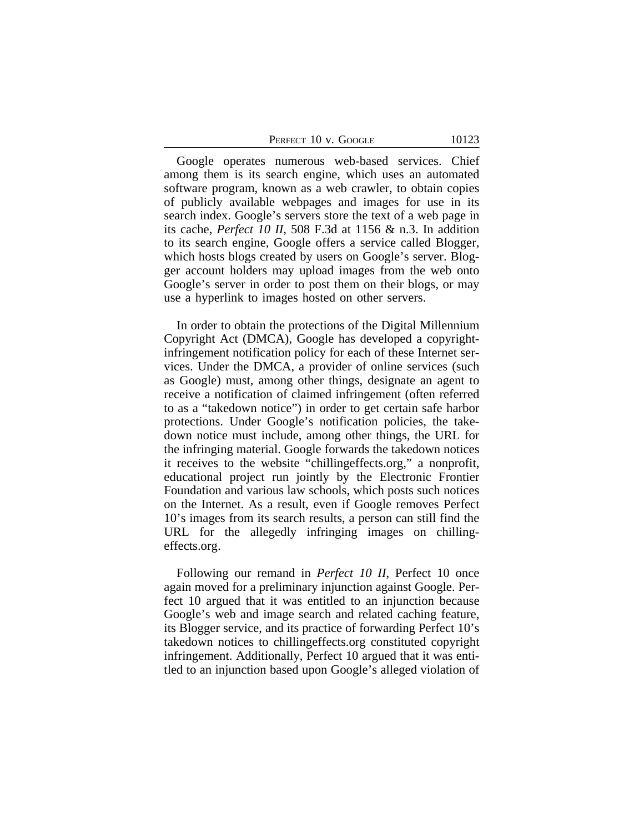Google operates numerous web-based services. Chief among them is its search engine, which uses an automated software program, known as a web crawler, to obtain copies of publicly available webpages and images for use in its search index. Google's servers store the text of a web page in its cache, *Perfect 10 II*, 508 F.3d at 1156 & n.3. In addition to its search engine, Google offers a service called Blogger, which hosts blogs created by users on Google's server. Blogger account holders may upload images from the web onto Google's server in order to post them on their blogs, or may use a hyperlink to images hosted on other servers.

In order to obtain the protections of the Digital Millennium Copyright Act (DMCA), Google has developed a copyrightinfringement notification policy for each of these Internet services. Under the DMCA, a provider of online services (such as Google) must, among other things, designate an agent to receive a notification of claimed infringement (often referred to as a "takedown notice") in order to get certain safe harbor protections. Under Google's notification policies, the takedown notice must include, among other things, the URL for the infringing material. Google forwards the takedown notices it receives to the website "chillingeffects.org," a nonprofit, educational project run jointly by the Electronic Frontier Foundation and various law schools, which posts such notices on the Internet. As a result, even if Google removes Perfect 10's images from its search results, a person can still find the URL for the allegedly infringing images on chillingeffects.org.

Following our remand in *Perfect 10 II*, Perfect 10 once again moved for a preliminary injunction against Google. Perfect 10 argued that it was entitled to an injunction because Google's web and image search and related caching feature, its Blogger service, and its practice of forwarding Perfect 10's takedown notices to chillingeffects.org constituted copyright infringement. Additionally, Perfect 10 argued that it was entitled to an injunction based upon Google's alleged violation of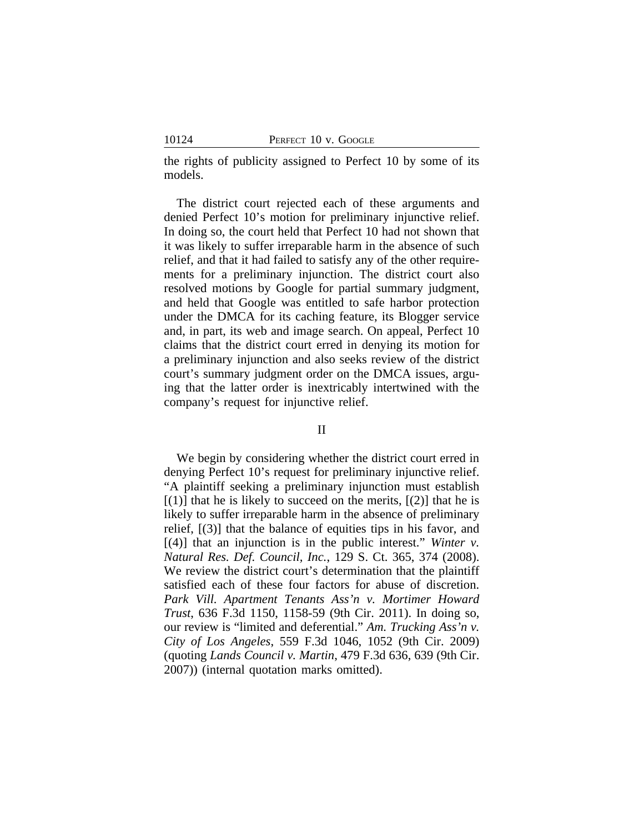the rights of publicity assigned to Perfect 10 by some of its models.

The district court rejected each of these arguments and denied Perfect 10's motion for preliminary injunctive relief. In doing so, the court held that Perfect 10 had not shown that it was likely to suffer irreparable harm in the absence of such relief, and that it had failed to satisfy any of the other requirements for a preliminary injunction. The district court also resolved motions by Google for partial summary judgment, and held that Google was entitled to safe harbor protection under the DMCA for its caching feature, its Blogger service and, in part, its web and image search. On appeal, Perfect 10 claims that the district court erred in denying its motion for a preliminary injunction and also seeks review of the district court's summary judgment order on the DMCA issues, arguing that the latter order is inextricably intertwined with the company's request for injunctive relief.

## II

We begin by considering whether the district court erred in denying Perfect 10's request for preliminary injunctive relief. "A plaintiff seeking a preliminary injunction must establish  $[(1)]$  that he is likely to succeed on the merits,  $[(2)]$  that he is likely to suffer irreparable harm in the absence of preliminary relief, [(3)] that the balance of equities tips in his favor, and [(4)] that an injunction is in the public interest." *Winter v. Natural Res. Def. Council, Inc.*, 129 S. Ct. 365, 374 (2008). We review the district court's determination that the plaintiff satisfied each of these four factors for abuse of discretion. *Park Vill. Apartment Tenants Ass'n v. Mortimer Howard Trust*, 636 F.3d 1150, 1158-59 (9th Cir. 2011). In doing so, our review is "limited and deferential." *Am. Trucking Ass'n v. City of Los Angeles*, 559 F.3d 1046, 1052 (9th Cir. 2009) (quoting *Lands Council v. Martin*, 479 F.3d 636, 639 (9th Cir. 2007)) (internal quotation marks omitted).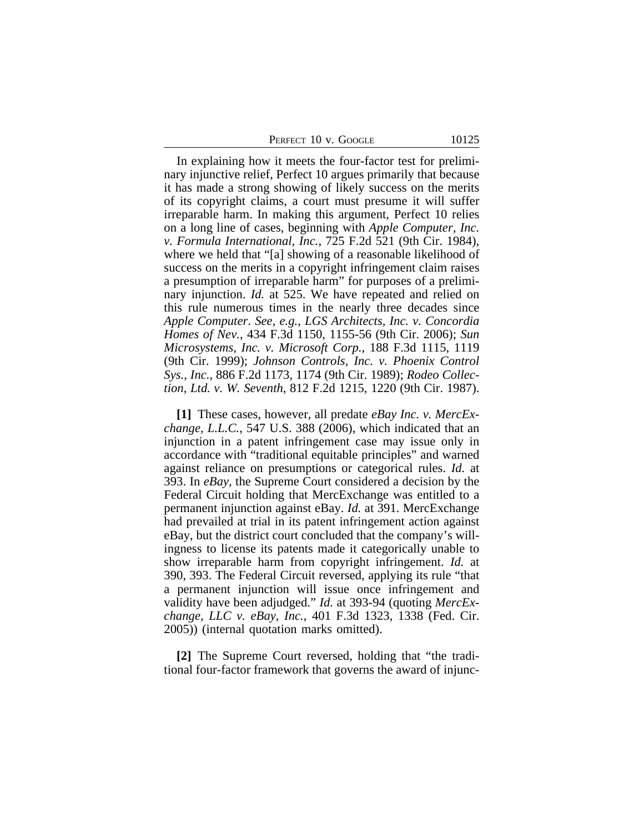| PERFECT 10 v. Google |  |  |
|----------------------|--|--|
|----------------------|--|--|

In explaining how it meets the four-factor test for preliminary injunctive relief, Perfect 10 argues primarily that because it has made a strong showing of likely success on the merits of its copyright claims, a court must presume it will suffer irreparable harm. In making this argument, Perfect 10 relies on a long line of cases, beginning with *Apple Computer, Inc. v. Formula International, Inc.*, 725 F.2d 521 (9th Cir. 1984), where we held that "[a] showing of a reasonable likelihood of success on the merits in a copyright infringement claim raises a presumption of irreparable harm" for purposes of a preliminary injunction. *Id.* at 525. We have repeated and relied on this rule numerous times in the nearly three decades since *Apple Computer*. *See, e.g.*, *LGS Architects, Inc. v. Concordia Homes of Nev.*, 434 F.3d 1150, 1155-56 (9th Cir. 2006); *Sun Microsystems, Inc. v. Microsoft Corp.*, 188 F.3d 1115, 1119 (9th Cir. 1999); *Johnson Controls, Inc. v. Phoenix Control Sys., Inc.*, 886 F.2d 1173, 1174 (9th Cir. 1989); *Rodeo Collection, Ltd. v. W. Seventh*, 812 F.2d 1215, 1220 (9th Cir. 1987).

**[1]** These cases, however, all predate *eBay Inc. v. MercExchange, L.L.C.*, 547 U.S. 388 (2006), which indicated that an injunction in a patent infringement case may issue only in accordance with "traditional equitable principles" and warned against reliance on presumptions or categorical rules. *Id.* at 393. In *eBay*, the Supreme Court considered a decision by the Federal Circuit holding that MercExchange was entitled to a permanent injunction against eBay. *Id.* at 391. MercExchange had prevailed at trial in its patent infringement action against eBay, but the district court concluded that the company's willingness to license its patents made it categorically unable to show irreparable harm from copyright infringement. *Id.* at 390, 393. The Federal Circuit reversed, applying its rule "that a permanent injunction will issue once infringement and validity have been adjudged." *Id.* at 393-94 (quoting *MercExchange, LLC v. eBay, Inc.*, 401 F.3d 1323, 1338 (Fed. Cir. 2005)) (internal quotation marks omitted).

**[2]** The Supreme Court reversed, holding that "the traditional four-factor framework that governs the award of injunc-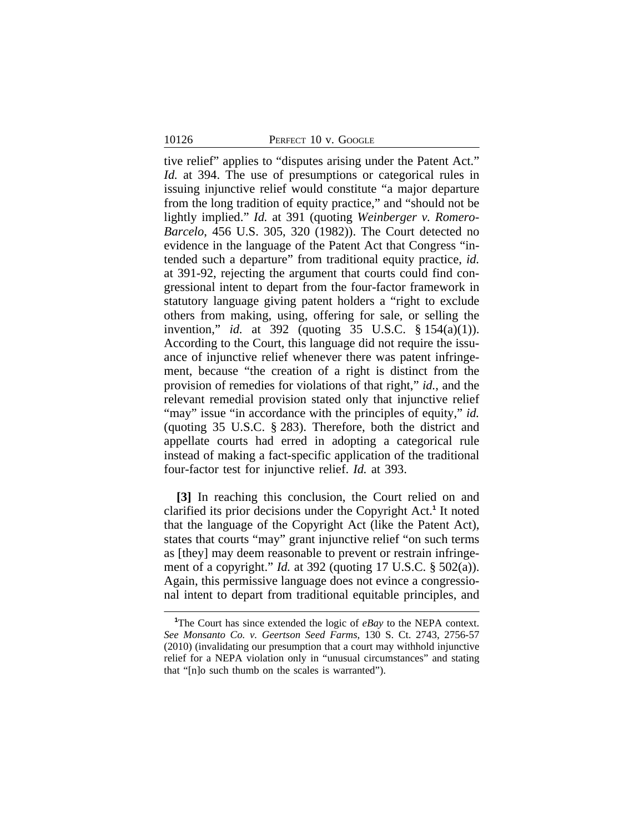#### 10126 PERFECT 10 v. GOOGLE

tive relief" applies to "disputes arising under the Patent Act." *Id.* at 394. The use of presumptions or categorical rules in issuing injunctive relief would constitute "a major departure from the long tradition of equity practice," and "should not be lightly implied." *Id.* at 391 (quoting *Weinberger v. Romero-Barcelo*, 456 U.S. 305, 320 (1982)). The Court detected no evidence in the language of the Patent Act that Congress "intended such a departure" from traditional equity practice, *id.* at 391-92, rejecting the argument that courts could find congressional intent to depart from the four-factor framework in statutory language giving patent holders a "right to exclude others from making, using, offering for sale, or selling the invention," *id.* at 392 (quoting 35 U.S.C. § 154(a)(1)). According to the Court, this language did not require the issuance of injunctive relief whenever there was patent infringement, because "the creation of a right is distinct from the provision of remedies for violations of that right," *id.*, and the relevant remedial provision stated only that injunctive relief "may" issue "in accordance with the principles of equity," *id.* (quoting 35 U.S.C. § 283). Therefore, both the district and appellate courts had erred in adopting a categorical rule instead of making a fact-specific application of the traditional four-factor test for injunctive relief. *Id.* at 393.

**[3]** In reaching this conclusion, the Court relied on and clarified its prior decisions under the Copyright Act.**<sup>1</sup>** It noted that the language of the Copyright Act (like the Patent Act), states that courts "may" grant injunctive relief "on such terms as [they] may deem reasonable to prevent or restrain infringement of a copyright." *Id.* at 392 (quoting 17 U.S.C. § 502(a)). Again, this permissive language does not evince a congressional intent to depart from traditional equitable principles, and

**<sup>1</sup>**The Court has since extended the logic of *eBay* to the NEPA context. *See Monsanto Co. v. Geertson Seed Farms*, 130 S. Ct. 2743, 2756-57 (2010) (invalidating our presumption that a court may withhold injunctive relief for a NEPA violation only in "unusual circumstances" and stating that "[n]o such thumb on the scales is warranted").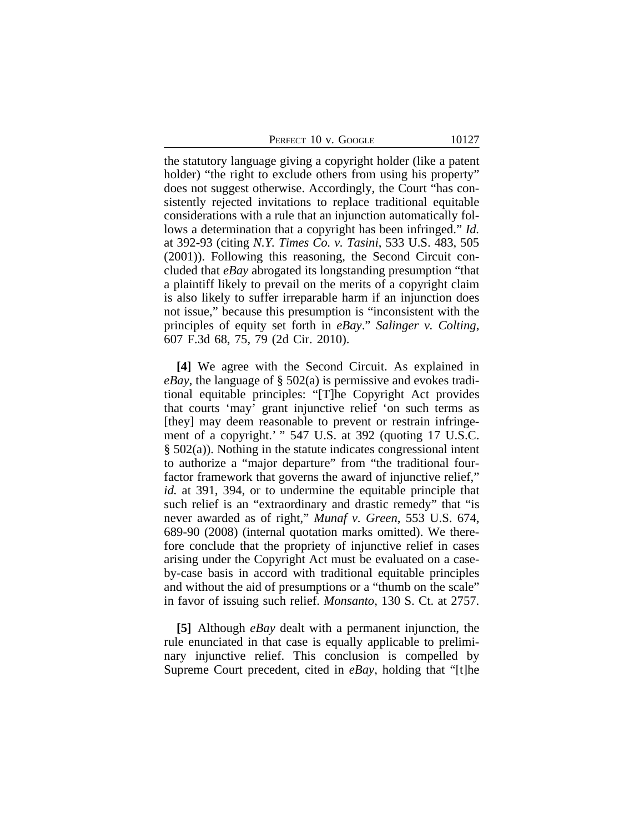PERFECT 10 v. GOOGLE 10127

the statutory language giving a copyright holder (like a patent holder) "the right to exclude others from using his property" does not suggest otherwise. Accordingly, the Court "has consistently rejected invitations to replace traditional equitable considerations with a rule that an injunction automatically follows a determination that a copyright has been infringed." *Id.* at 392-93 (citing *N.Y. Times Co. v. Tasini*, 533 U.S. 483, 505 (2001)). Following this reasoning, the Second Circuit concluded that *eBay* abrogated its longstanding presumption "that a plaintiff likely to prevail on the merits of a copyright claim is also likely to suffer irreparable harm if an injunction does not issue," because this presumption is "inconsistent with the principles of equity set forth in *eBay*." *Salinger v. Colting*, 607 F.3d 68, 75, 79 (2d Cir. 2010).

**[4]** We agree with the Second Circuit. As explained in *eBay*, the language of § 502(a) is permissive and evokes traditional equitable principles: "[T]he Copyright Act provides that courts 'may' grant injunctive relief 'on such terms as [they] may deem reasonable to prevent or restrain infringement of a copyright.' " 547 U.S. at 392 (quoting 17 U.S.C. § 502(a)). Nothing in the statute indicates congressional intent to authorize a "major departure" from "the traditional fourfactor framework that governs the award of injunctive relief," *id.* at 391, 394, or to undermine the equitable principle that such relief is an "extraordinary and drastic remedy" that "is never awarded as of right," *Munaf v. Green*, 553 U.S. 674, 689-90 (2008) (internal quotation marks omitted). We therefore conclude that the propriety of injunctive relief in cases arising under the Copyright Act must be evaluated on a caseby-case basis in accord with traditional equitable principles and without the aid of presumptions or a "thumb on the scale" in favor of issuing such relief. *Monsanto*, 130 S. Ct. at 2757.

**[5]** Although *eBay* dealt with a permanent injunction, the rule enunciated in that case is equally applicable to preliminary injunctive relief. This conclusion is compelled by Supreme Court precedent, cited in *eBay*, holding that "[t]he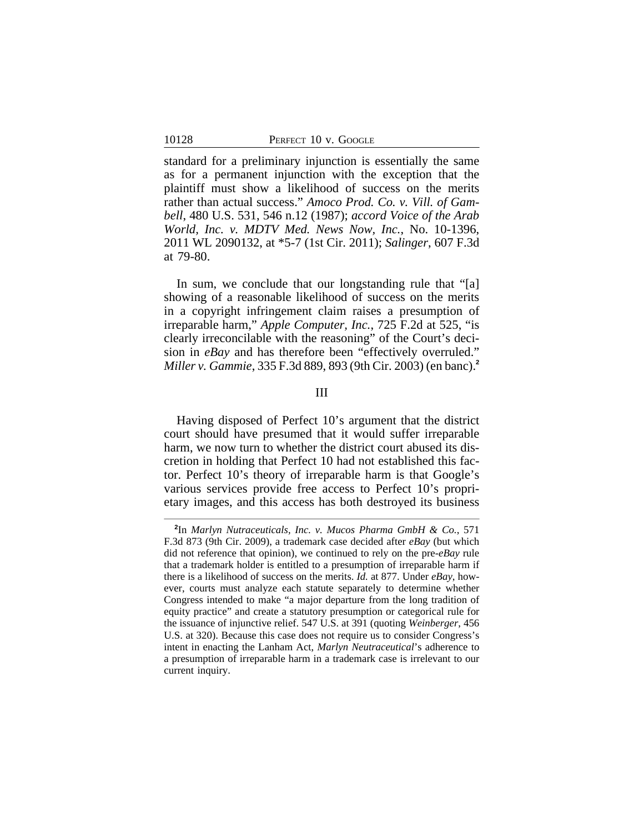standard for a preliminary injunction is essentially the same as for a permanent injunction with the exception that the plaintiff must show a likelihood of success on the merits rather than actual success." *Amoco Prod. Co. v. Vill. of Gambell*, 480 U.S. 531, 546 n.12 (1987); *accord Voice of the Arab World, Inc. v. MDTV Med. News Now, Inc.*, No. 10-1396, 2011 WL 2090132, at \*5-7 (1st Cir. 2011); *Salinger*, 607 F.3d at 79-80.

In sum, we conclude that our longstanding rule that "[a] showing of a reasonable likelihood of success on the merits in a copyright infringement claim raises a presumption of irreparable harm," *Apple Computer, Inc.*, 725 F.2d at 525, "is clearly irreconcilable with the reasoning" of the Court's decision in *eBay* and has therefore been "effectively overruled." *Miller v. Gammie*, 335 F.3d 889, 893 (9th Cir. 2003) (en banc).**<sup>2</sup>**

## III

Having disposed of Perfect 10's argument that the district court should have presumed that it would suffer irreparable harm, we now turn to whether the district court abused its discretion in holding that Perfect 10 had not established this factor. Perfect 10's theory of irreparable harm is that Google's various services provide free access to Perfect 10's proprietary images, and this access has both destroyed its business

**<sup>2</sup>** In *Marlyn Nutraceuticals, Inc. v. Mucos Pharma GmbH & Co.*, 571 F.3d 873 (9th Cir. 2009), a trademark case decided after *eBay* (but which did not reference that opinion), we continued to rely on the pre-*eBay* rule that a trademark holder is entitled to a presumption of irreparable harm if there is a likelihood of success on the merits. *Id.* at 877. Under *eBay*, however, courts must analyze each statute separately to determine whether Congress intended to make "a major departure from the long tradition of equity practice" and create a statutory presumption or categorical rule for the issuance of injunctive relief. 547 U.S. at 391 (quoting *Weinberger*, 456 U.S. at 320). Because this case does not require us to consider Congress's intent in enacting the Lanham Act, *Marlyn Neutraceutical*'s adherence to a presumption of irreparable harm in a trademark case is irrelevant to our current inquiry.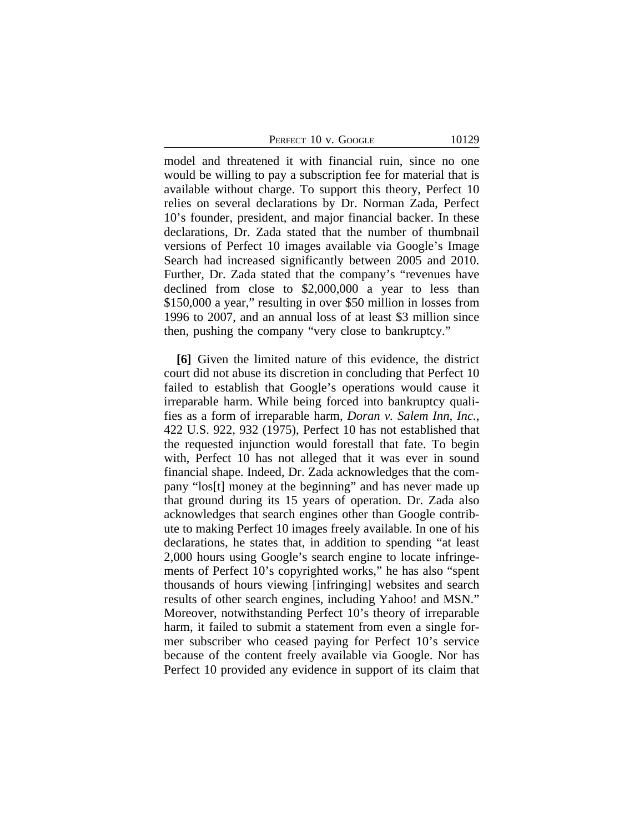PERFECT 10 v. GOOGLE 10129

model and threatened it with financial ruin, since no one would be willing to pay a subscription fee for material that is available without charge. To support this theory, Perfect 10 relies on several declarations by Dr. Norman Zada, Perfect 10's founder, president, and major financial backer. In these declarations, Dr. Zada stated that the number of thumbnail versions of Perfect 10 images available via Google's Image Search had increased significantly between 2005 and 2010. Further, Dr. Zada stated that the company's "revenues have declined from close to \$2,000,000 a year to less than \$150,000 a year," resulting in over \$50 million in losses from 1996 to 2007, and an annual loss of at least \$3 million since then, pushing the company "very close to bankruptcy."

**[6]** Given the limited nature of this evidence, the district court did not abuse its discretion in concluding that Perfect 10 failed to establish that Google's operations would cause it irreparable harm. While being forced into bankruptcy qualifies as a form of irreparable harm, *Doran v. Salem Inn, Inc.*, 422 U.S. 922, 932 (1975), Perfect 10 has not established that the requested injunction would forestall that fate. To begin with, Perfect 10 has not alleged that it was ever in sound financial shape. Indeed, Dr. Zada acknowledges that the company "los[t] money at the beginning" and has never made up that ground during its 15 years of operation. Dr. Zada also acknowledges that search engines other than Google contribute to making Perfect 10 images freely available. In one of his declarations, he states that, in addition to spending "at least 2,000 hours using Google's search engine to locate infringements of Perfect 10's copyrighted works," he has also "spent thousands of hours viewing [infringing] websites and search results of other search engines, including Yahoo! and MSN." Moreover, notwithstanding Perfect 10's theory of irreparable harm, it failed to submit a statement from even a single former subscriber who ceased paying for Perfect 10's service because of the content freely available via Google. Nor has Perfect 10 provided any evidence in support of its claim that